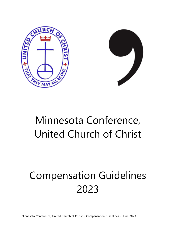



## Minnesota Conference, United Church of Christ

# Compensation Guidelines 2023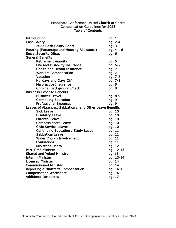#### Minnesota Conference United Church of Christ Compensation Guidelines for 2023 Table of Contents

| <b>Introduction</b>                                       | pg. 1       |
|-----------------------------------------------------------|-------------|
| <b>Cash Salary</b>                                        | pg. 2-4     |
| 2023 Cash Salary Chart                                    | pg. 3       |
| Housing (Parsonage and Housing Allowance)                 | pg. $4 - 6$ |
| <b>Social Security Offset</b>                             | pg. 6       |
| <b>General Benefits</b>                                   |             |
| <b>Retirement Annuity</b>                                 | pg. 6       |
| Life and Disability Insurance                             | pg. 6-7     |
| <b>Health and Dental Insurance</b>                        | pg. 7       |
| <b>Workers Compensation</b>                               | pg. 7       |
| Vacation                                                  | pg. 7-8     |
| <b>Holidays and Days Off</b>                              | pg. 7-8     |
| <b>Malpractice Insurance</b>                              | pg. 8       |
| <b>Criminal Background Check</b>                          | pg. 8       |
| <b>Business Expense Benefits</b>                          |             |
| <b>Business Travel</b>                                    | pg. 8-9     |
| <b>Continuing Education</b>                               | pg. 9       |
| <b>Professional Expenses</b>                              | pg. 9       |
| Leaves of Absences, Sabbaticals, and Other Leave Benefits |             |
| <b>Sick Leave</b>                                         | pg. 10      |
| <b>Disability Leave</b>                                   | pg. 10      |
| <b>Parental Leave</b>                                     | pg. 10      |
| <b>Compassionate Leave</b>                                | pg. 10      |
| <b>Civic Service Leaves</b>                               | pg. 10      |
| Continuing Education / Study Leave                        | pg. 11      |
| <b>Sabbatical Leave</b>                                   | pg. 11      |
| <b>Wider Church Involvement</b>                           | pg. 11      |
| <b>Evaluations</b>                                        | pg. 11      |
| Minister's Death                                          | pg. 12      |
| <b>Part-Time Minister</b>                                 | pg. 12-13   |
| <b>Shared and Yoked Ministry</b>                          | pg. 13      |
| <b>Interim Minister</b>                                   | pg. 13-14   |
| <b>Licensed Minister</b>                                  | pg. 14      |
| <b>Commissioned Minister</b>                              | pg. 14      |
| Reporting a Minister's Compensation                       | pg. 14-15   |
| <b>Compensation Worksheet</b>                             | pg. 16      |
| <b>Additional Resources</b>                               | pg. 17      |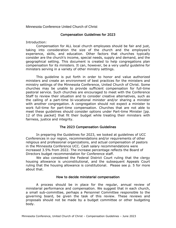Minnesota Conference United Church of Christ

#### Compensation Guidelines for 2023

Introduction:

Compensation for ALL local church employees should be fair and just, taking into consideration the size of the church and the employee's experience, skills, and education. Other factors that churches typically consider are the church's income, special needs, supply and demand, and the geographical setting. This document is created to help congregations plan compensation for its ministers. It can, however, be a very useful guideline for ministers serving in a variety of other ministry settings.

This guideline is put forth in order to honor and value authorized ministers and create an environment of best practices for the ministers and ministry settings of the Minnesota Conference, United Church of Christ. Some churches may be unable to provide sufficient compensation for full-time pastoral service. Such churches are encouraged to meet with the Conference Staff to review their situation and to consider creative alternatives, such as the calling of a part-time bi-vocational minister and/or sharing a minister with another congregation. A congregation should not expect a minister to work full-time for part-time compensation. Churches that are not able to meet these guidelines should consider options under Part-time Minister [pp. 12 of this packet] that fit their budget while treating their ministers with fairness, justice and integrity.

#### The 2023 Compensation Guidelines

In preparing the Guidelines for 2023, we looked at guidelines of UCC Conferences in our region, recommendations and/or requirements of other religious and professional organizations, and actual compensation of pastors in the Minnesota Conference UCC. Cash salary recommendations were increased 3.5% from 2022. The increase percentage reflects the Board of Directors budget recommendation for Conference staff.

We also considered the Federal District Court ruling that the clergy housing allowance is unconstitutional, and the subsequent Appeals Court ruling that the housing allowance is constitutional. Please see p. 5 for more about that.

#### How to decide ministerial compensation

A process should be in place for the regular, annual review of ministerial performance and compensation. We suggest that in each church, a small sub-committee, perhaps a Personnel Committee responsible to the governing board, be given the task of this review. These reviews and proposals should not be made by a budget committee or other budgeting body.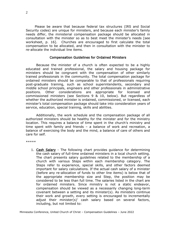Please be aware that because federal tax structures (IRS and Social Security codes) are unique for ministers, and because each minister's family needs differ, the ministerial compensation package should be allocated in consultation with the minister so as to best meet the minister's needs [see worksheet, p. 16]. Churches are encouraged to first calculate the total compensation to be allocated, and then in consultation with the minister to re-allocate the individual line items.

#### Compensation Guidelines for Ordained Ministers

Because the minister of a church is often expected to be a highly educated and trained professional, the salary and housing package for ministers should be congruent with the compensation of other similarly trained professionals in the community. The total compensation package for ordained ministers should be comparable to that of professionals requiring post-graduate training, such as school superintendents, secondary and middle school principals, engineers and other professionals in administrative positions. Other considerations are appropriate for licensed and commissioned ministers (see Sections 9 & 10, below). But regardless of whether the authorized minister is ordained, commissioned, or licensed, each minister's total compensation package should take into consideration years of service, education, special training, skills and abilities.

Additionally, the work schedule and the compensation package of all authorized ministers should be healthy for the minister and for the ministry location. This requires a balance of time spent in the church's ministry and time spent with family and friends – a balance of work and recreation, a balance of exercising the body and the mind, a balance of care of others and care for self.

\*\*\*\*\*

1. Cash Salary - The following chart provides guidance for determining the cash salary of full-time ordained ministers in a local church setting. The chart presents salary guidelines related to the membership of a church with various Steps within each membership category. The Steps refer to experience, special skills, and other factors deemed important for salary calculations. If the actual cash salary of a minister (before any re-allocation of funds to other line items) is below that of the appropriate membership size and Step, the position may be considered to be less than full time. The salaries listed in the chart are for ordained ministers. Since ministry is not a static endeavor, compensation should be viewed as a necessarily changing long-term covenant between a setting and its minister(s). As ministers continue their work and growth, every setting is encouraged to incrementally adjust their minister(s)' cash salary based on several factors, including, but not limited to: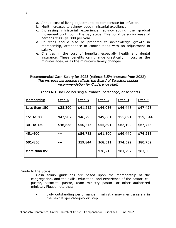- a. Annual cost of living adjustments to compensate for inflation.
- b. Merit increases to acknowledge ministerial excellence.
- c. Increasing ministerial experience, acknowledging the gradual movement up through the pay steps. This could be an increase of perhaps \$500-\$1,000 per year.
- d. Churches should also be prepared to acknowledge growth in membership, attendance or contributions with an adjustment in salary.
- e. Changes in the cost of benefits, especially health and dental insurance. These benefits can change drastically in cost as the minister ages, or as the minister's family changes.

#### Recommended Cash Salary for 2023 (reflects 3.5% increase from 2022) The increase percentage reflects the Board of Directors budget recommendation for Conference staff.

| <u>Membership</u> | <b>Step A</b> | <b>Step B</b> | Step C   | Step D   | Step E   |
|-------------------|---------------|---------------|----------|----------|----------|
| Less than 150     | \$38,390      | \$41,212      | \$44,036 | \$46,448 | \$47,423 |
| 151 to 300        | \$42,907      | \$46,295      | \$49,681 | \$55,891 | \$59,844 |
| 301 to 450        | \$46,858      | \$50,245      | \$55,891 | \$62,102 | \$67,748 |
| 451-600           |               | \$54,783      | \$61,800 | \$69,440 | \$76,215 |
| 601-850           |               | \$59,844      | \$68,311 | \$74,522 | \$80,732 |
| More than 851     |               |               | \$76,215 | \$81,297 | \$87,506 |

#### (does NOT include housing allowance, parsonage, or benefits)

#### Guide to the Steps

Cash salary guidelines are based upon the membership of the congregation, and the skills, education, and experience of the pastor, copastor, associate pastor, team ministry pastor, or other authorized minister. Please note that:

truly outstanding performance in ministry may merit a salary in the next larger category or Step.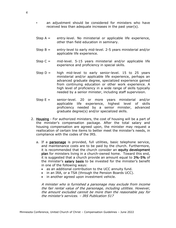- an adjustment should be considered for ministers who have received less than adequate increases in the past year(s).
- Step  $A =$  entry-level. No ministerial or applicable life experience, other than field education in seminary.
- Step  $B =$  entry-level to early mid-level. 2-5 years ministerial and/or applicable life experience.
- Step  $C =$  mid-level. 5-15 years ministerial and/or applicable life experience and proficiency in special skills.
- Step  $D =$  high mid-level to early senior-level. 15 to 25 years ministerial and/or applicable life experience, perhaps an advanced graduate degree, specialized experience gained from continuing education or other work experience. A high level of proficiency in a wide range of skills typically needed by a senior minister, including staff supervision.
- Step  $E =$  senior-level. 20 or more years ministerial and/or applicable life experience, highest level of skills proficiency needed by a senior minister, advanced graduate degree(s) and/or specialized skills.
- 2. Housing For authorized ministers, the cost of housing will be a part of the minister's compensation package. After the total salary and housing compensation are agreed upon, the minister may request a reallocation of certain line items to better meet the minister's needs, in compliance with the codes of the IRS.
	- a. If a parsonage is provided, full utilities, basic telephone service, and maintenance costs are to be paid by the church. Furthermore, it is recommended that the church consider an equity development plan for ministers living in a church-owned home. Toward this end, it is suggested that a church provide an amount equal to 3%-5% of the minister's salary basis to be invested for the minister's benefit in one of the following ways:
		- as an additional contribution to the UCC annuity fund.
		- in an IRA, or a TSA (through the Pension Boards UCC).
		- in another agreed upon investment vehicle.

A minister who is furnished a parsonage may exclude from income the fair rental value of the parsonage, including utilities. However, the amount excluded cannot be more than the reasonable pay for the minister's services. – IRS Publication 517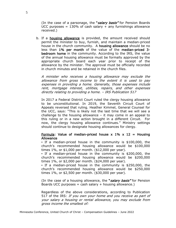(In the case of a parsonage, the "salary basis" for Pension Boards UCC purposes =  $130\%$  of cash salary + any furnishings allowance received.)

b. If a housing allowance is provided, the amount received should permit the minister to buy, furnish, and maintain a median-priced house in the church community. A housing allowance should be no less than 1% per month of the value of the median-priced 3 bedroom home in the community. According to the IRS, the value of the annual housing allowance must be formally approved by the appropriate church board each year prior to receipt of the allowance by the minister. The approval must be officially recorded in church minutes and be retained in the church files.

A minister who receives a housing allowance may exclude the allowance from gross income to the extent it is used to pay expenses in providing a home. Generally, those expenses include rent, mortgage interest, utilities, repairs, and other expenses directly relating to providing a home. – IRS Publication 517

In 2017 a Federal District Court ruled the clergy housing allowance to be unconstitutional. In 2019, the Seventh Circuit Court of Appeals reversed that ruling. Heather Kimmel, General Counsel for the UCC, says: "This is likely not the last time that we will see a challenge to the housing allowance – it may come in an appeal to this ruling or in a new action brought in a different Circuit. For now, the clergy housing allowance continues." Ministry settings should continue to designate housing allowances for clergy.

#### Formula: Value of median-priced house x 1% x 12 = Housing Allowance

▪ If a median-priced house in the community is \$100,000, the church's recommended housing allowance would be \$100,000 times 1%, or \$1,000 per month. (\$12,000 per year).

▪ If a median-priced house in the community is \$200,000, the church's recommended housing allowance would be \$200,000 times 1%, or \$2,000 per month. (\$24,000 per year).

▪ If a median-priced house in the community is \$250,000, the church's recommended housing allowance would be \$250,000 times 1%, or \$2,500 per month. (\$30,000 per year).

(In the case of a housing allowance, the "salary basis" for Pension Boards UCC purposes = cash salary  $+$  housing allowance.)

Regardless of the above considerations, according to Publication 517 of the IRS: If you own your home and you receive as part of your salary a housing or rental allowance, you may exclude from gross income the smallest of: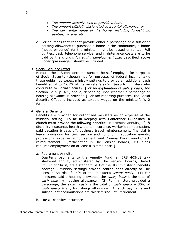- The amount actually used to provide a home;
- The amount officially designated as a rental allowance; or
- The fair rental value of the home, including furnishings, utilities, garage, etc.
- c. For churches that cannot provide either a parsonage or a sufficient housing allowance to purchase a home in the community, a home (house or condo) for the minister might be leased or rented. Full utilities, basic telephone service, and maintenance costs are to be paid by the church. An *equity development plan* described above under "parsonage," should be included.

#### 3. Social Security Offset

Because the IRS considers ministers to be self-employed for purposes of Social Security (though not for purposes of federal income tax), these guidelines expect ministry settings to provide an additional cash benefit equal to 7.65% of the minister's salary basis to ministers who contribute to Social Security. [For an explanation of salary basis, see Section 2a-b, p. 4-5, above, depending upon whether a parsonage or housing allowance is provided.] For tax reporting purposes, the Social Security Offset is included as taxable wages on the minister's W-2 form.

#### 4. General Benefits

Benefits are provided for authorized ministers as an expense of the ministry setting. To be in keeping with Conference Guidelines, a church must provide the following benefits: retirement annuity, life & disability insurance, health & dental insurance, worker's compensation, paid vacation & days off, business travel reimbursement, financial & leave provisions for civic service and continuing education events, professional expense reimbursement, and Criminal Background Check reimbursement. [Participation in The Pension Boards, UCC plans requires employment on at least a ½ time basis.]

a. Retirement Annuity

Quarterly payments to the Annuity Fund, an IRS 403(b) taxsheltered annuity administered by The Pension Boards, United Church of Christ, are a standard part of the UCC ministerial benefits package. Ministry settings provide contributions directly to The Pension Boards of 14% of the minister's salary basis. (1) For ministers paid a housing allowance, the salary basis is the total of cash salary + housing allowance. (2) For ministers provided a parsonage, the *salary basis* is the total of *cash salary* + 30% of cash salary + any furnishings allowance. All such payments and subsequent accumulations are tax deferred until retirement.

b. Life & Disability Insurance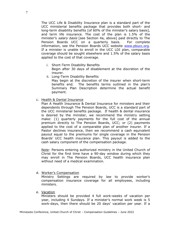The UCC Life & Disability Insurance plan is a standard part of the UCC ministerial benefits package that provides both short- and long-term disability benefits [of 60% of the minister's salary basis], and term life insurance. The cost of the plan is 1.5% of the minister's salary basis [see Section 4a, above] paid directly to The Pension Boards UCC on a quarterly basis. For complete information, see the Pension Boards UCC website [www.pbucc.org.](http://www.pbucc.org/) If a minister is unable to enroll in the UCC LDI plan, comparable coverage should be sought elsewhere and 1.5% of the salary basis applied to the cost of that coverage.

- i. Short-Term Disability Benefits Begin after 30 days of disablement at the discretion of the insurer.
- ii. Long-Term Disability Benefits

May begin at the discretion of the insurer when short-term benefits end. The benefits terms outlined in the plan's Summary Plan Description determine the actual benefit payment.

c. Health & Dental Insurance

Plan A Health Insurance & Dental Insurance for ministers and their dependents through The Pension Boards, UCC is a standard part of the UCC ministerial benefits package. If health & dental insurance is desired by the minister, we recommend the ministry setting make: (1) quarterly payments for the full cost of the annual premium directly to The Pension Boards, UCC; or (2) payments applied to the cost of a comparable plan of another insurer. If a Pastor declines insurance, then we recommend a cash equivalent payout equal to the premiums for single coverage in the Pension Boards' UCC health insurance plan. This payout is added to the cash salary component of the compensation package.

Note: Persons entering authorized ministry in the United Church of Christ for the first time have a 90-day window during which they may enroll in The Pension Boards, UCC health insurance plan without need of a medical examination.

d. Worker's Compensation

Ministry Settings are required by law to provide worker's compensation insurance coverage for all employees, including ministers.

e. Vacation

Ministers should be provided 4 full work-weeks of vacation per year, including 4 Sundays. If a minister's normal work week is 5 work-days, then there should be 20 days' vacation per year. If a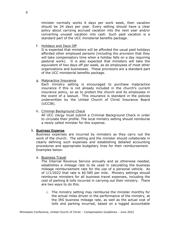minister normally works 6 days per work week, then vacation should be 24 days per year. Every setting should have a clear policy about carrying accrued vacation into the next year and/or converting unused vacation into cash. Such paid vacation is a standard part of the UCC ministerial benefits package.

f. Holidays and Days Off

It is expected that ministers will be afforded the usual paid holidays afforded other employed persons (including the provision that they will take compensatory time when a holiday falls on a day requiring pastoral work). It is also expected that ministers will take the equivalent of two days off per week, as do employees of most other organizations and businesses. These provisions are a standard part of the UCC ministerial benefits package.

g. Malpractice Insurance

Each ministry setting is encouraged to purchase malpractice insurance if this is not already included in the church's current insurance policy, so as to protect the church and its employees in the event of a lawsuit. This insurance is standard in the policies underwritten by the United Church of Christ Insurance Board (UCCIB).

h. Criminal Background Check

All UCC clergy must submit a Criminal Background Check in order to circulate their profile. The local ministry setting should reimburse a newly called minister for this expense.

#### 5. Business Expense

Business expenses are incurred by ministers as they carry out the work of the church. The setting and the minister should collaborate in clearly defining such expenses and establishing detailed accounting procedures and appropriate budgetary lines for their reimbursement. Examples below:

a. Business Travel

The Internal Revenue Service annually and as otherwise needed, establishes a mileage rate to be used in calculating the business mileage reimbursement rate for the use of a personal vehicle. As of 1/1/2022 that rate is \$0.585 per mile. Ministry settings should reimburse ministers for all business travel expenses, including the cost of parking & tolls incurred in carrying out their ministry. There are two ways to do this.

i. The ministry setting may reimburse the minister monthly for the actual miles driven in the performance of the ministry, at the IRS business mileage rate, as well as the actual cost of tolls and parking incurred, based on a logged accountable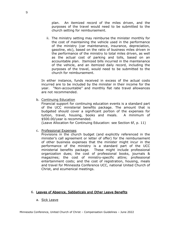plan. An itemized record of the miles driven, and the purposes of the travel would need to be submitted to the church setting for reimbursement.

ii. The ministry setting may reimburse the minister monthly for the cost of maintaining the vehicle used in the performance of the ministry (car maintenance, insurance, depreciation, gasoline, etc), based on the ratio of business miles driven in the performance of the ministry to total miles driven, as well as the actual cost of parking and tolls, based on an accountable plan. Itemized bills incurred in the maintenance of the vehicle, and an itemized daily record, including the purposes of the travel, would need to be submitted to the church for reimbursement.

In either instance, funds received in excess of the actual costs incurred are to be included by the minister in their income for the year. "Non-accountable" and monthly flat rate travel allowances are not recommended.

b. Continuing Education

Financial support for continuing education events is a standard part of the UCC ministerial benefits package. The amount that is budgeted should cover a significant portion of the expenses for tuition, travel, housing, books and meals. A minimum of \$500.00/year is recommended.

(Leave Allocation for Continuing Education: see Section 6f, p. 11)

c. Professional Expenses

Provisions in the church budget (and explicitly referenced in the minister's call agreement or letter of offer) for the reimbursement of other business expenses that the minister might incur in the performance of the ministry is a standard part of the UCC ministerial benefits package. These might include professional organization dues; the cost of professional books, journals & magazines; the cost of ministry-specific attire; professional entertainment costs; and the cost of registration, housing, meals and travel for Minnesota Conference UCC, national United Church of Christ, and ecumenical meetings.

#### 6. Leaves of Absence, Sabbaticals and Other Leave Benefits

a. Sick Leave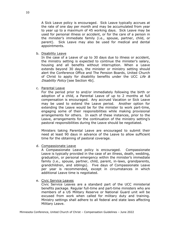A Sick Leave policy is encouraged. Sick Leave typically accrues at the rate of one day per month and may be accumulated from year to year up to a maximum of 45 working days. Sick Leave may be used for personal illness or accident, or for the care of a person in the minister's immediate family (i.e., spouse, partner, child, or parent). Sick Leave may also be used for medical and dental appointments.

b. Disability Leave

In the case of a Leave of up to 30 days due to illness or accident, the ministry setting is expected to continue the minister's salary, housing and all benefits without interruption. When a Leave extends beyond 30 days, the minister or ministry setting should alert the Conference Office and The Pension Boards, United Church of Christ to apply for disability benefits under the UCC Life  $\&$ Disability Policy [see Section 4b].

c. Parental Leave

For the period prior to and/or immediately following the birth or adoption of a child, a Parental Leave of up to 2 months at full compensation is encouraged. Any accrued Vacation or Sick Leave may be used to extend the Leave period. Another option for extending the Leave would be for the minister to work part-time, engaging some of their responsibilities while making provisional arrangements for others. In each of these instances, prior to the Leave, arrangements for the continuation of the ministry setting's pastoral responsibilities during the Leave should be negotiated.

Ministers taking Parental Leave are encouraged to submit their need at least 90 days in advance of the Leave to allow sufficient time for the obtaining of pastoral coverage.

d. Compassionate Leave

A Compassionate Leave policy is encouraged. Compassionate Leave is typically provided in the case of an illness, death, wedding, graduation, or personal emergency within the minister's immediate family (i.e., spouse, partner, child, parent, in-laws, grandparents, grandchildren, and siblings). Five days of Compassionate Leave per year is recommended, except in circumstances in which additional Leave time is negotiated.

e. Civic Service Leaves

Civic Service Leaves are a standard part of the UCC ministerial benefits package. Regular full-time and part-time ministers who are members of a US Military Reserve or National Guard unit will be excused from work when called for military duty and training. Ministry settings shall adhere to all federal and state laws affecting Military Leave.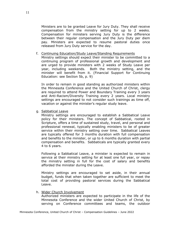Ministers are to be granted Leave for Jury Duty. They shall receive compensation from the ministry setting for up to 2 weeks. Compensation for ministers serving Jury Duty is the difference between their regular compensation and the Jury Duty per diem pay. Ministers are expected to resume pastoral duties once released from Jury Duty service for the day.

#### f. Continuing Education/Study Leave/Standing Requirements

Ministry settings should expect their minister to be committed to a continuing program of professional growth and development and are urged to provide ministers with 2 weeks of Study Leave per year, including weekends. Both the ministry setting, and the minister will benefit from it. (Financial Support for Continuing Education: see Section 5b, p. 9)

In order to remain in good standing as authorized ministers within the Minnesota Conference and the United Church of Christ, clergy are required to attend Power and Boundary Training every 3 years and Anti-Racism/Diversity Training every 2 years. Local ministry settings are encouraged to not consider such trainings as time off, vacation or against the minister's regular study leave.

g. Sabbatical Leave

Ministry settings are encouraged to establish a Sabbatical Leave policy for their ministers. The concept of Sabbatical, rooted in Scripture, offers a time of sustained study, travel, and personal and professional renewal, typically enabling ministers to be of greater service within their ministry setting over time. Sabbatical Leaves are typically offered for 3 months duration with full compensation and benefits to the minister, or up to 6 months duration with partial compensation and benefits. Sabbaticals are typically granted every 4 to 6 years.

Following a Sabbatical Leave, a minister is expected to remain in service at their ministry setting for at least one full year, or repay the ministry setting in full for the cost of salary and benefits afforded the minister during the Leave.

Ministry settings are encouraged to set aside, in their annual budget, funds that when taken together are sufficient to meet the total cost of providing pastoral services during the Sabbatical Leave.

h. Wider Church Involvement

Authorized ministers are expected to participate in the life of the Minnesota Conference and the wider United Church of Christ, by serving on Conference committees and teams, the outdoor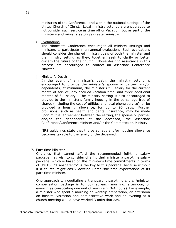ministries of the Conference, and within the national settings of the United Church of Christ. Local ministry settings are encouraged to not consider such service as time off or Vacation, but as part of the minister's and ministry setting's greater ministry.

i. Evaluations

The Minnesota Conference encourages all ministry settings and ministers to participate in an annual evaluation. Such evaluations should consider the shared ministry goals of both the minister and the ministry setting as they, together, seek to clarify or better discern the future of the church. Those desiring assistance in this process are encouraged to contact an Associate Conference Minister.

j. Minister's Death

In the event of a minister's death, the ministry setting is encouraged to provide the minister's spouse or partner and/or dependents, at minimum, the minister's full salary for the current month of service, any accrued vacation time, and three additional months of full salary. The ministry setting is also encouraged to provide to the minister's family housing in the parsonage free of charge (including the cost of utilities and local phone service), or be provided a housing allowance, for up to 90 days. Further provisions, such as health and dental insurance, may be made upon mutual agreement between the setting, the spouse or partner and/or the dependents of the deceased, the Associate Conference/Conference Minister and/or the Committee on Ministry.

[IRS guidelines state that the parsonage and/or housing allowance becomes taxable to the family of the deceased.]

#### 7. Part-time Minister

Churches that cannot afford the recommended full-time salary package may wish to consider offering their minister a part-time salary package, which is based on the minister's time commitments in terms of UNITS. "Transparency" is the key to this package, because without it a church might easily develop unrealistic time expectations of its part-time minister.

One approach to negotiating a transparent part-time church/minister compensation package is to look at each morning, afternoon, or evening as constituting one unit of work (e.g. 3-4 hours). For example, a minister who spent a morning on worship preparation, an afternoon on hospital visitation and administrative work and an evening at a church meeting would have worked 3 units that day.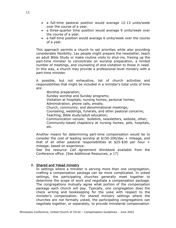- a full-time pastoral position would average 12-13 units/week over the course of a year.
- a three-quarter time position would average 9 units/week over the course of a year.
- a half-time position would average 6 units/week over the course of a year.

This approach permits a church to set priorities while also providing considerable flexibility. Lay people might prepare the newsletter, teach an adult Bible Study or make routine visits to shut-ins, freeing up the part-time minister to concentrate on worship preparation, a limited number of meetings, and counseling of and visitation to those in need. In this way, a church may provide a professional-level ministry with a part-time minister.

A possible, but not exhaustive, list of church activities and responsibilities that might be included in a minister's total units of time are:

Worship preparation;

Sunday worship and Sunday programs;

Visitation at hospitals, nursing homes, personal homes;

Administration, phone calls, emails;

Church, community, and denominational meetings;

Counseling, weddings, funerals, and other pastoral concerns; Teaching, Bible study/adult education;

Communication venues: bulletins, newsletters, website, other; Community-based chaplaincy at nursing homes, jails, hospitals, etc.

Another means for determining part-time compensation would be to consider the cost of leading worship at \$150-200/day + mileage, and that of all other pastoral responsibilities at \$25-\$30 per hour + mileage, based on experience.

See the resource *Call Agreement Workbook* available from the Conference office. [See Additional Resources, p 17]

#### 8. Shared and Yoked ministry

In settings where a minister is serving more than one congregation, crafting a compensation package can be more complicated. In yoked settings, the participating churches generally meet together to determine the scope of work and negotiate a compensation package. The congregations mutually agree what portion of the compensation package each church will pay. Typically, one congregation does the check writing and bookkeeping for the yoke with respect to the minister's compensation. For shared ministry settings where the churches are not formally yoked, the participating congregations can negotiate together, or separately, to provide ministerial compensation.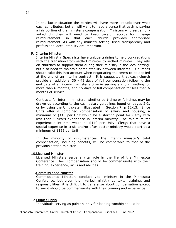In the latter situation the parties will have more latitude over what each contributes, but all will want to have a sense that each is paying a fair portion of the minister's compensation. Ministers who serve nonyoked churches will need to keep careful records for mileage reimbursement so that each church provides appropriate reimbursement. As with any ministry setting, fiscal transparency and professional accountability are important.

#### 9. Interim Minister

Interim Ministry Specialists have unique training to help congregations with the transition from settled minister to settled minister. They rely on churches to support them during their ministry in the local setting, but also need to maintain some stability between interims. Churches should take this into account when negotiating the terms to be applied at the end of an interim contract. It is suggested that each church provide an additional 30 - 45 days of full compensation following the end date of an interim minister's time in serving a church setting for more than 6 months, and 15 days of full compensation for less than 6 months of service.

Contracts for interim ministers, whether part-time or full-time, may be drawn up according to the cash salary guidelines found on pages 2-3, or by using the Unit system illustrated in Section 7, p 12-13. Since Units offer a combined compensation of salary and housing, a minimum of \$115 per Unit would be a starting point for clergy with less than 5 years experience in interim ministry. The minimum for experienced interims would be \$140 per Unit. Clergy that have a special expertise in crisis and/or after-pastor ministry would start at a minimum of \$155 per Unit.

In the majority of circumstances, the interim minister's total compensation, including benefits, will be comparable to that of the previous settled minister.

#### 10.Licensed Minister

Licensed Ministers serve a vital role in the life of the Minnesota Conference. Their compensation should be commensurate with their training, experience, skills and abilities.

#### 11.Commissioned Minister

Commissioned Ministers conduct vital ministry in the Minnesota Conference, but given their varied ministry contexts, training, and responsibilities, it is difficult to generalize about compensation except to say it should be commensurate with their training and experience.

#### 12.Pulpit Supply

Individuals serving as pulpit supply for leading worship should be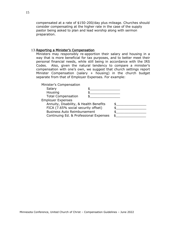compensated at a rate of \$150-200/day plus mileage. Churches should consider compensating at the higher rate in the case of the supply pastor being asked to plan and lead worship along with sermon preparation.

#### 13.Reporting a Minister's Compensation

Ministers may responsibly re-apportion their salary and housing in a way that is more beneficial for tax purposes, and to better meet their personal financial needs, while still being in accordance with the IRS Codes. Also, given the natural tendency to compare a minister's compensation with one's own, we suggest that church settings report Minister Compensation (salary + housing) in the church budget separate from that of Employer Expenses. For example:

| Minister's Compensation                |  |  |
|----------------------------------------|--|--|
| Salary                                 |  |  |
| Housing                                |  |  |
| <b>Total Compensation</b>              |  |  |
| <b>Employer Expenses</b>               |  |  |
| Annuity, Disability, & Health Benefits |  |  |
| FICA (7.65% social security offset)    |  |  |
| <b>Business Auto Reimbursement</b>     |  |  |
| Continuing Ed. & Professional Expenses |  |  |
|                                        |  |  |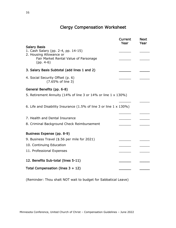### Clergy Compensation Worksheet

|                                                                    | Current<br>Year | <b>Next</b><br>Year |
|--------------------------------------------------------------------|-----------------|---------------------|
| <b>Salary Basis</b>                                                |                 |                     |
| 1. Cash Salary (pp. 2-4, pp. 14-15)<br>2. Housing Allowance or     |                 |                     |
| Fair Market Rental Value of Parsonage<br>$(pp. 4-6)$               |                 |                     |
| 3. Salary Basis Subtotal (add lines 1 and 2)                       |                 |                     |
| 4. Social Security Offset (p. 6)<br>(7.65% of line 3)              |                 |                     |
| General Benefits (pp. 6-8)                                         |                 |                     |
| 5. Retirement Annuity (14% of line 3 or 14% or line 1 x 130%)      |                 |                     |
| 6. Life and Disability Insurance (1.5% of line 3 or line 1 x 130%) |                 |                     |
| 7. Health and Dental Insurance                                     |                 |                     |
| 8. Criminal Background Check Reimbursement                         |                 |                     |
| Business Expense (pp. 8-9)                                         |                 |                     |
| 9. Business Travel (\$.56 per mile for 2021)                       |                 |                     |
| 10. Continuing Education                                           |                 |                     |
| 11. Professional Expenses                                          |                 |                     |
| 12. Benefits Sub-total (lines 5-11)                                |                 |                     |
| Total Compensation (lines $3 + 12$ )                               |                 |                     |

(Reminder: Thou shalt NOT wait to budget for Sabbatical Leave)